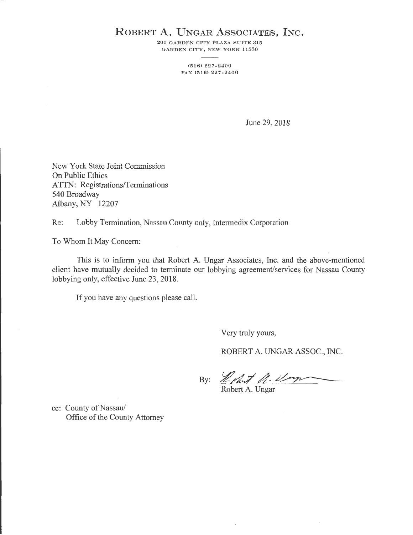## ROBERT A. UNGAR ASSOCIATES, INC.

200 GARDEN CITY PLAZA SUITE 315 GARDEN CITY, NEW YORK 11530

> (516) 227-2400 FAX (516) 227 - 2406

> > June 29, 2018

New York State Joint Commission On Public Ethics ATTN: Registrations/Terminations 540 Broadway Albany, NY 12207

Re: Lobby Termination, Nassau County only, Intermedix Corporation

To Whom It May Concern:

This is to inform you that Robert A. Ungar Associates, Inc. and the above-mentioned client have mutually decided to terminate our lobbying agreement/services for Nassau County lobbying only, effective June 23, 2018.

If you have any questions please call.

Very truly yours,

ROBERT A. UNGAR ASSOC., INC.

By: *Lehat U. Um* 

cc: County of Nassau/ Office of the County Attorney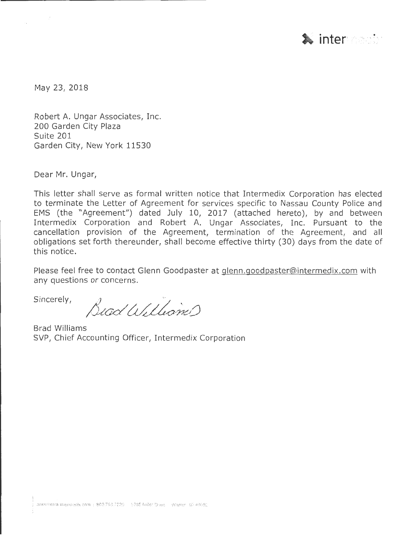

May 23, 2018

Robert A. Ungar Associates, Inc. 200 Garden City Plaza Suite 201 Garden City, New York 11530

Dear Mr. Ungar,

This letter shall serve as formal written notice that Intermedix Corporation has elected to terminate the Letter of Agreement for services specific to Nassau County Police and EMS (the "Agreement") dated July 10, 2017 (attached hereto), by and between Intermedix Corporation and Robert A. Ungar Associates, Inc. Pursuant to the cancellation provision of the Agreement, termination of the Agreement, and all obligations set forth thereunder, shall become effective thirty (30) days from the date of this notice.

Please feel free to contact Glenn Goodpaster at glenn.goodpaster@intermedix.com with any questions or concerns.

Sincerely,

Bead Williams

Brad Williams SVP, Chief Accounting Officer, Intermedix Corporation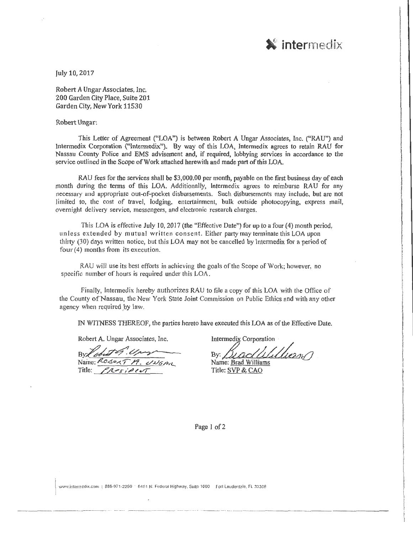

July 10,2017

Robert A Ungar Associates, Inc. 200 Garden City Place, Suite 201 Garden City, New York 11530

## Robert Ungar:

This Letter of Agreement ("LOA") is between Robert A Ungar Associates, Inc. ("RAU") and Intermedix Corporation ("Intermedix"). By way of this LOA, Intermedix agrees to retain RAU for Nassau County Police and EMS advisement and, if required, lobbying services in accordance to the service outlined in the Scope of Work attached herewith and made part of this LOA.

RAU fees for the services shall be \$3,000.00 per month, payable on the first business day of each month during the terms of this LOA. Additionally, lntermedix agrees to reimburse RAU for any necessary and appropriate out-of-pocket disbursements. Such disbursements may include, but are not limited to, the cost of travel, lodging, entertainment, bulk outside photocopying, express mail, overnight delivery service, messengers, and electronic research charges.

This LOA is effective July 10, 2017 (the "Effective Date") for up to a four  $(4)$  month period, unless extended by mutual written consent. Either partymaytenninatethis LOA upon thirty (30) days written notice, but this LOA may not be cancelled by Interrnedix for a period of four  $(4)$  months from its execution.

RAU will use its best efforts in achieving the goals of the Scope of Work; however, no specific number of hours is required under this LOA.

Finally, Intermedix hereby authorizes RAU to file a copy of this LOA with the Office of the County of Nassau, the New York State Joint Commission on Public Ethics and with any other agency when required by law.

IN WITNESS THEREOF, the parties hereto have executed this LOA as of the Effective Date.

Robert A. Ungar Associates, Inc.

By lobuth Ung Name: ROSEXT M. UNGAR Title: *PRESIPINT* 

-------------

Intermedix Corporation

By: *//<u>/.ac///////eee</u>n/*<br>Name: <u>Brad Williams</u>

Title: SVP & CAO

Page I of 2